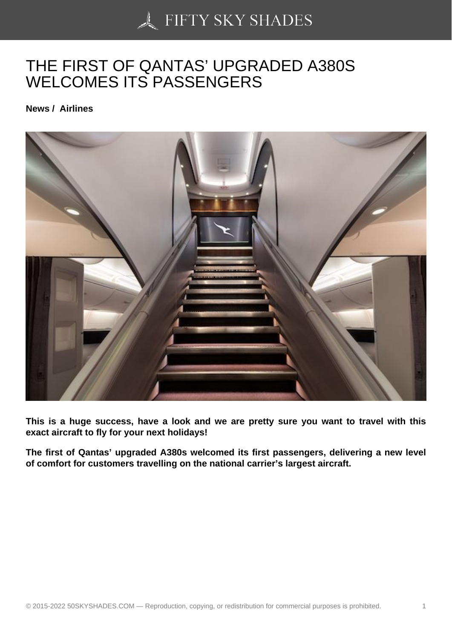## [THE FIRST OF QANTA](https://50skyshades.com)S' UPGRADED A380S WELCOMES ITS PASSENGERS

News / Airlines

This is a huge success, have a look and we are pretty sure you want to travel with this exact aircraft to fly for your next holidays!

The first of Qantas' upgraded A380s welcomed its first passengers, delivering a new level of comfort for customers travelling on the national carrier's largest aircraft.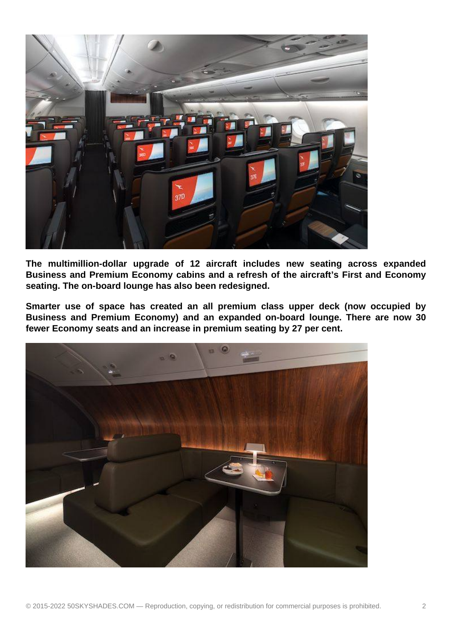

**The multimillion-dollar upgrade of 12 aircraft includes new seating across expanded Business and Premium Economy cabins and a refresh of the aircraft's First and Economy seating. The on-board lounge has also been redesigned.**

**Smarter use of space has created an all premium class upper deck (now occupied by Business and Premium Economy) and an expanded on-board lounge. There are now 30 fewer Economy seats and an increase in premium seating by 27 per cent.**

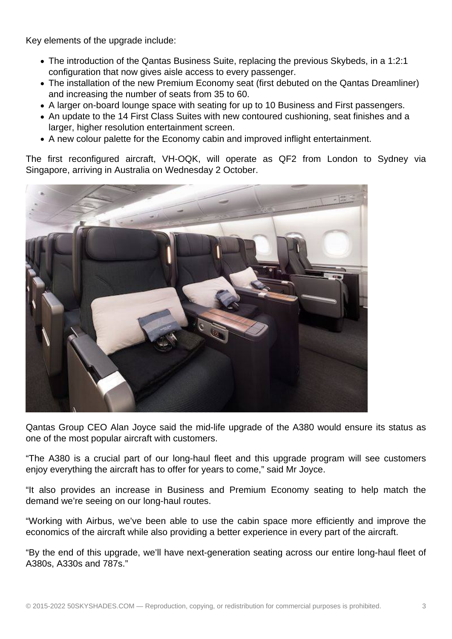Key elements of the upgrade include:

- The introduction of the Qantas Business Suite, replacing the previous Skybeds, in a 1:2:1 configuration that now gives aisle access to every passenger.
- The installation of the new Premium Economy seat (first debuted on the Qantas Dreamliner) and increasing the number of seats from 35 to 60.
- A larger on-board lounge space with seating for up to 10 Business and First passengers.
- An update to the 14 First Class Suites with new contoured cushioning, seat finishes and a larger, higher resolution entertainment screen.
- A new colour palette for the Economy cabin and improved inflight entertainment.

The first reconfigured aircraft, VH-OQK, will operate as QF2 from London to Sydney via Singapore, arriving in Australia on Wednesday 2 October.



Qantas Group CEO Alan Joyce said the mid-life upgrade of the A380 would ensure its status as one of the most popular aircraft with customers.

"The A380 is a crucial part of our long-haul fleet and this upgrade program will see customers enjoy everything the aircraft has to offer for years to come," said Mr Joyce.

"It also provides an increase in Business and Premium Economy seating to help match the demand we're seeing on our long-haul routes.

"Working with Airbus, we've been able to use the cabin space more efficiently and improve the economics of the aircraft while also providing a better experience in every part of the aircraft.

"By the end of this upgrade, we'll have next-generation seating across our entire long-haul fleet of A380s, A330s and 787s."